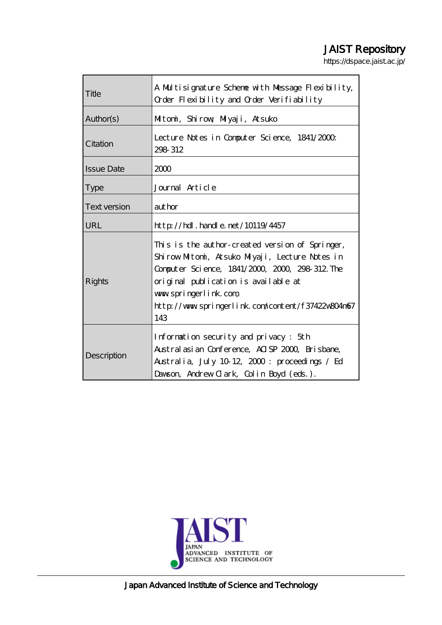# JAIST Repository

https://dspace.jaist.ac.jp/

| Title               | A Multisignature Scheme with Message Flexibility,<br>Order Flexibility and Order Verifiability                                                                                                                                                                                    |  |  |  |
|---------------------|-----------------------------------------------------------------------------------------------------------------------------------------------------------------------------------------------------------------------------------------------------------------------------------|--|--|--|
| Author(s)           | Miltoni, Shirovy Milyaji, Atsuko                                                                                                                                                                                                                                                  |  |  |  |
| Citation            | Lecture Notes in Computer Science, 1841/2000.<br>298 312                                                                                                                                                                                                                          |  |  |  |
| <b>Issue Date</b>   | 2000                                                                                                                                                                                                                                                                              |  |  |  |
| <b>Type</b>         | Journal Article                                                                                                                                                                                                                                                                   |  |  |  |
| <b>Text version</b> | author                                                                                                                                                                                                                                                                            |  |  |  |
| URL                 | $http$ // $hdl$ . handle. net/10119/4457                                                                                                                                                                                                                                          |  |  |  |
| Rights              | This is the author-created version of Springer,<br>Shirow Miltoni, Atsuko Miyaji, Lecture Notes in<br>Computer Science, 1841/2000, 2000, 298-312. The<br>original publication is available at<br>www.springerlink.com<br>http://www.springerlink.com/content/f37422w804m67<br>143 |  |  |  |
| Description         | Information security and privacy: 5th<br>Australasian Conference, ACISP 2000, Brisbane,<br>Australia, July 10-12, 2000: proceedings / Ed<br>Davson, Andrew Clark, Colin Boyd (eds.).                                                                                              |  |  |  |



Japan Advanced Institute of Science and Technology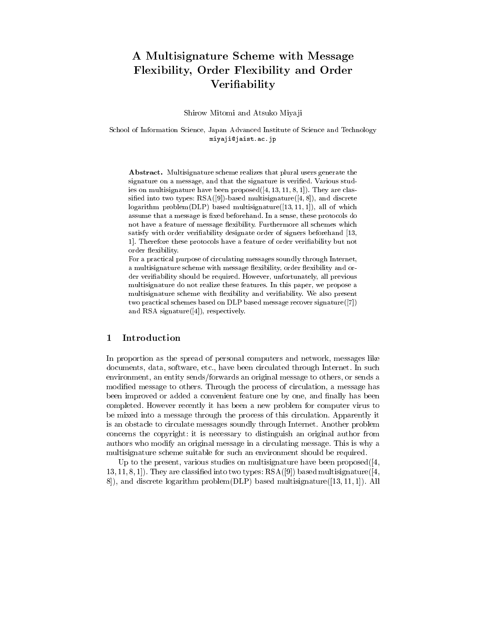## A Multisignature Scheme with Message Flexibility, Order Flexibility and Order **Verifiability**

Shirow Mitomi and Atsuko Miyaji

School of Information Science, Japan Advanced Institute of Science and Technology miyaji@jaist.ac.jp

Abstract. Multisignature scheme realizes that plural users generate the signature on a message, and that the signature is verified. Various studies on multisignature have been proposed $([4, 13, 11, 8, 1])$ . They are classified into two types:  $RSA([9])$ -based multisignature([4,8]), and discrete logarithm problem(DLP) based multisignature( $[13, 11, 1]$ ), all of which assume that a message is fixed beforehand. In a sense, these protocols do not have a feature of message flexibility. Furthermore all schemes which satisfy with order verifiability designate order of signers beforehand [13, 1]. Therefore these protocols have a feature of order veriability but not order 
exibility.

For a practical purpose of circulating messages soundly through Internet, a multisignature scheme with message flexibility, order flexibility and order veriability should be required. However, unfortunately, all previous multisignature do not realize these features. In this paper, we propose a multisignature scheme with flexibility and verifiability. We also present two practical schemes based on DLP based message recover signature([7]) and RSA signature([4]), respectively.

#### 1Introduction

In proportion as the spread of personal computers and network, messages like documents, data, software, etc., have been circulated through Internet. In such environment, an entity sends/forwards an original message to others, or sends a modied message to others. Through the process of circulation, a message has been improved or added a convenient feature one by one, and finally has been completed. However recently it has been a new problem for computer virus to be mixed into a message through the process of this circulation. Apparently it is an obstacle to circulate messages soundly through Internet. Another problem concerns the copyright: it is necessary to distinguish an original author from authors who modify an original message in a circulating message. This is why a multisignature scheme suitable for such an environment should be required.

Up to the present, various studies on multisignature have been proposed  $(4,$ 13, 11, 8, 1]). They are classied into two types: RSA([9]) based multisignature([4, 8]), and discrete logarithm problem(DLP) based multisignature([13, 11, 1]). All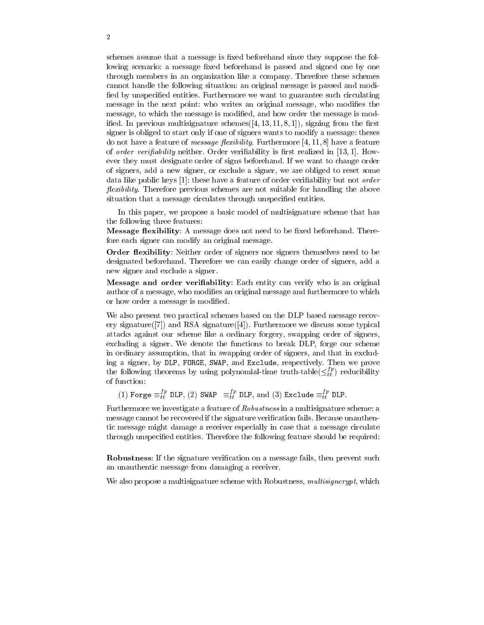schemes assume that a message is fixed beforehand since they suppose the following scenario: a message fixed beforehand is passed and signed one by one through members in an organization like a company. Therefore these schemes cannot handle the following situation: an original message is passed and modi fied by unspecified entities. Furthermore we want to guarantee such circulating message in the next point: who writes an original message, who modifies the message, to which the message is modified, and how order the message is modified. In previous multisignature schemes $([4, 13, 11, 8, 1])$ , signing from the first signer is obliged to start only if one of signers wants to modify a message: theses do not have a feature of *message flexibility*. Furthermore  $[4, 11, 8]$  have a feature of *order verifiability* neither. Order verifiability is first realized in  $[13, 1]$ . However they must designate order of signs beforehand. If we want to change order of signers, add a new signer, or exclude a signer, we are obliged to reset some data like public keys  $[1]$ : these have a feature of order verifiability but not *order flexibility*. Therefore previous schemes are not suitable for handling the above situation that a message circulates through unspecified entities.

In this paper, we propose a basic model of multisignature scheme that has the following three features:

Message flexibility: A message does not need to be fixed beforehand. Therefore each signer can modify an original message.

Order flexibility: Neither order of signers nor signers themselves need to be designated beforehand. Therefore we can easily change order of signers, add a new signer and exclude a signer.

Message and order verifiability: Each entity can verify who is an original author of a message, who modifies an original message and furthermore to which or how order a message is modified.

We also present two practical schemes based on the DLP based message recov ery signature( $[7]$ ) and RSA signature( $[4]$ ). Furthermore we discuss some typical attacks against our scheme like a ordinary forgery, swapping order of signers, excluding a signer. We denote the functions to break DLP, forge our scheme in ordinary assumption, that in swapping order of signers, and that in excluding a signer, by DLP, FORGE, SWAP, and Exclude, respectively. Then we prove the following theorems by using polynomial-time truth-table( $\leq^{\ell \ell}_{tt}$ ) reducibility of function:

(1) Forge  $\equiv_{tt}^{tr}$  DLP, (2) SWAP  $\equiv_{tt}^{tr}$  DLP, and (3) Exclude  $\equiv_{tt}^{tr}$  DLP.

Furthermore we investigate a feature of *Robustness* in a multisignature scheme: a message cannot be recovered if the signature verification fails. Because unauthentic message might damage a receiver especially in case that a message circulate through unspecified entities. Therefore the following feature should be required:

**Robustness**: If the signature verification on a message fails, then prevent such an unauthentic message from damaging a receiver.

We also propose a multisignature scheme with Robustness, *multisigncrypt*, which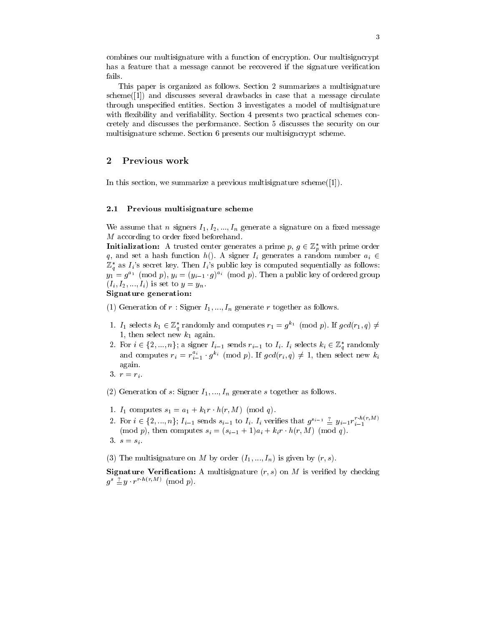combines our multisignature with a function of encryption. Our multisigncrypt has a feature that a message cannot be recovered if the signature verification fails.

This paper is organized as follows. Section 2 summarizes a multisignature scheme([1]) and discusses several drawbacks in case that a message circulate through unspecied entities. Section 3 investigates a model of multisignature with flexibility and verifiability. Section 4 presents two practical schemes concretely and discusses the performance. Section 5 discusses the security on our multisignature scheme. Section 6 presents our multisigncrypt scheme.

#### 2Previous work

In this section, we summarize a previous multisignature scheme([1]).

#### 2.1 Previous multisignature scheme

We assume that *n* signers  $I_1, I_2, ..., I_n$  generate a signature on a fixed message M according to order fixed beforehand.

**Initialization:** A trusted center generates a prime  $p, g \in \mathbb{Z}_p^*$  with prime order q, and set a hash function  $h()$ . A signer  $I_i$  generates a random number  $a_i \in$  $\mathbb{Z}_q^*$  as  $I_i$ 's secret key. Then  $I_i$ 's public key is computed sequentially as follows:  $y_1 = g^{a_1} \pmod{p}, y_i = (y_{i-1} \cdot g)^{a_i} \pmod{p}$ . Then a public key of ordered group  $(I_i, I_2, ..., I_i)$  is set to  $y = y_n$ .

#### Signature generation:

- (1) Generation of  $r :$  Signer  $I_1, ..., I_n$  generate r together as follows.
- 1.  $I_1$  selects  $k_1 \in \mathbb{Z}_q^*$  randomly and computes  $r_1 = g^{k_1} \pmod{p}$ . If  $gcd(r_1, q) \neq 0$ 1, then select new  $k_1$  again.
- 2. For  $i \in \{2, ..., n\}$ ; a signer  $I_{i-1}$  sends  $r_{i-1}$  to  $I_i$ .  $I_i$  selects  $k_i \in \mathbb{Z}_q^*$  randomly and computes  $r_i = r_{i-1}^{a_i} \cdot g^{k_i} \pmod{p}$ . If  $gcd(r_i, q) \neq 1$ , then select new  $k_i$ again.
- 3.  $r = r_i$ .
- (2) Generation of s: Signer  $I_1, ..., I_n$  generate s together as follows.
- 1.  $I_1$  computes  $s_1 = a_1 + k_1 r \cdot h(r, M) \pmod{q}$ .
- 2. For  $i \in \{2, ..., n\}$ ;  $I_{i-1}$  sends  $s_{i-1}$  to  $I_i$ .  $I_i$  verifies that  $g^{s_{i-1}} \stackrel{?}{=} y_{i-1} r_{i-1}^{r \cdot n}(r, M)}$ (mod p), then computes  $s_i = (s_{i-1} + 1)a_i + k_i r \cdot h(r, M)$  (mod q). 3.  $s = s_i$ .
- (3) The multisignature on M by order  $(I_1, ..., I_n)$  is given by  $(r, s)$ .

**Signature Verification:** A multisignature  $(r, s)$  on M is verified by checking  $g^2 \equiv y \; r \; \cdots$  (mod p).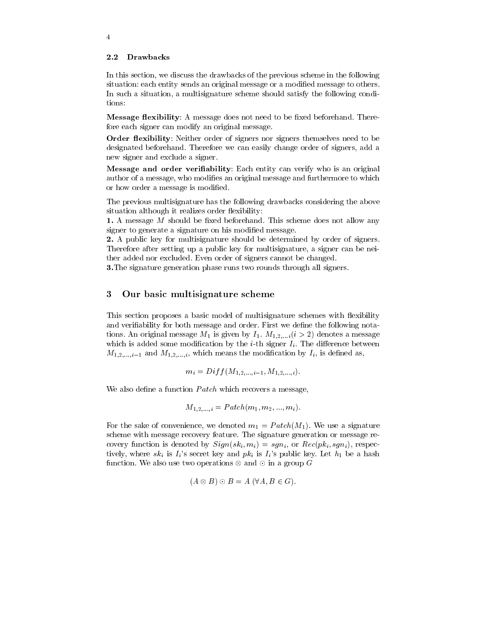#### $2.2$ **Drawbacks**

In this section, we discuss the drawbacks of the previous scheme in the following situation: each entity sends an original message or a modied message to others. In such a situation, a multisignature scheme should satisfy the following conditions:

Message flexibility: A message does not need to be fixed beforehand. Therefore each signer can modify an original message.

Order flexibility: Neither order of signers nor signers themselves need to be designated beforehand. Therefore we can easily change order of signers, add a new signer and exclude a signer.

Message and order verifiability: Each entity can verify who is an original author of a message, who modifies an original message and furthermore to which or how order a message is modified.

The previous multisignature has the following drawbacks considering the above situation although it realizes order flexibility:

1. A message  $M$  should be fixed beforehand. This scheme does not allow any signer to generate a signature on his modified message.

2. A public key for multisignature should be determined by order of signers. Therefore after setting up a public key for multisignature, a signer can be neither added nor excluded. Even order of signers cannot be changed.

3.The signature generation phase runs two rounds through all signers.

### Our basic multisignature scheme

This section proposes a basic model of multisignature schemes with flexibility and verifiability for both message and order. First we define the following notations. An original message  $M_1$  is given by  $I_1$ .  $M_{1,2,...i}$  ( $i > 2$ ) denotes a message which is added some modification by the *i*-th signer  $I_i$ . The difference between  $M_{1,2,\ldots,i-1}$  and  $M_{1,2,\ldots,i}$ , which means the modification by  $I_i$ , is defined as,

$$
m_i = Diff(M_{1,2,\ldots,i-1}, M_{1,2,\ldots,i}).
$$

We also define a function  $Patch$  which recovers a message,

$$
M_{1,2,...,i} = \text{Patch}(m_1, m_2, ..., m_i).
$$

For the sake of convenience, we denoted  $m_1 = Patch(M_1)$ . We use a signature scheme with message recovery feature. The signature generation or message recovery function is denoted by  $Sign(sk_i, m_i) = sgn_i$ , or  $Rec(pk_i, sgn_i)$ , respectively, where  $sk_i$  is  $I_i$ 's secret key and  $pk_i$  is  $I_i$ 's public key. Let  $h_1$  be a hash function. We also use two operations  $\otimes$  and  $\odot$  in a group  $G$ 

$$
(A \otimes B) \odot B = A \; (\forall A, B \in G).
$$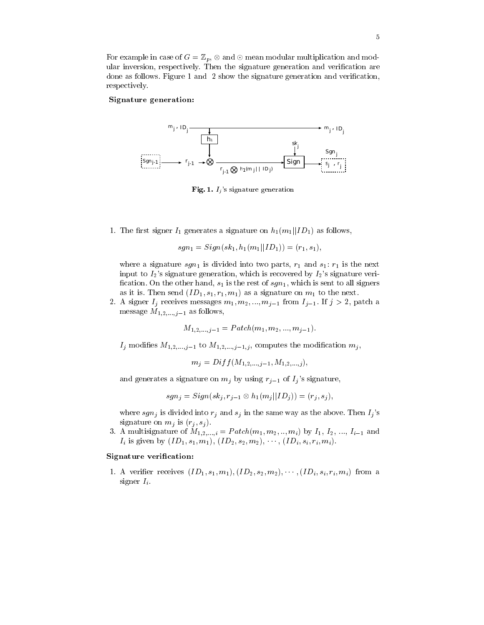For example in case of  $G=\mathbb{Z}_p,\,\otimes$  and  $\odot$  mean modular multiplication and modular inversion, respectively. Then the signature generation and verication are done as follows. Figure 1 and 2 show the signature generation and verification, respectively.

#### Signature generation:



Fig. 1.  $I_j$ 's signature generation

1. The first signer  $I_1$  generates a signature on  $h_1(m_1||ID_1)$  as follows,

$$
sgn_1 = Sign(sk_1, h_1(m_1||ID_1)) = (r_1, s_1),
$$

where a signature  $sgn_1$  is divided into two parts,  $r_1$  and  $s_1$ :  $r_1$  is the next input to  $I_2$ 's signature generation, which is recovered by  $I_2$ 's signature verification. On the other hand,  $s_1$  is the rest of  $sgn_1$ , which is sent to all signers as it is. Then send  $(ID_1, s_1, r_1, m_1)$  as a signature on  $m_1$  to the next.

2. A signer  $I_j$  receives messages  $m_1, m_2, ..., m_{j-1}$  from  $I_{j-1}$ . If  $j > 2$ , patch a message  $M_{1,2,\dots,j-1}$  as follows,

$$
M_{1,2,\dots,j-1} = Patch(m_1, m_2, \dots, m_{j-1}).
$$

 $I_j$  modifies  $M_{1,2,\dots,j-1}$  to  $M_{1,2,\dots,j-1,j}$ , computes the modification  $m_j$ ,

$$
m_j = Diff(M_{1,2,\ldots,j-1}, M_{1,2,\ldots,j}),
$$

and generates a signature on  $m_j$  by using  $r_{j-1}$  of  $I_j$ 's signature,

 $sgn_j = Sign(sk_j, r_{j-1} \otimes h_1(m_j || ID_j)) = (r_j, s_j),$ 

where  $sgn_j$  is divided into  $r_j$  and  $s_j$  in the same way as the above. Then  $I_j$ 's signature on  $m_j$  is  $(r_j, s_j)$ .

3. A multisignature of  $M_{1,2,...,i} = \text{patch}(m_1, m_2, ..., m_i)$  by  $I_1, I_2, ..., I_{i-1}$  and  $I_i$  is given by  $(ID_1, s_1, m_1), (ID_2, s_2, m_2), \cdots, (ID_i, s_i, r_i, m_i).$ 

### Signature verification:

1. A verifier receives  $(ID_1, s_1, m_1), (ID_2, s_2, m_2), \cdots, (ID_i, s_i, r_i, m_i)$  from a signer  $I_i$ .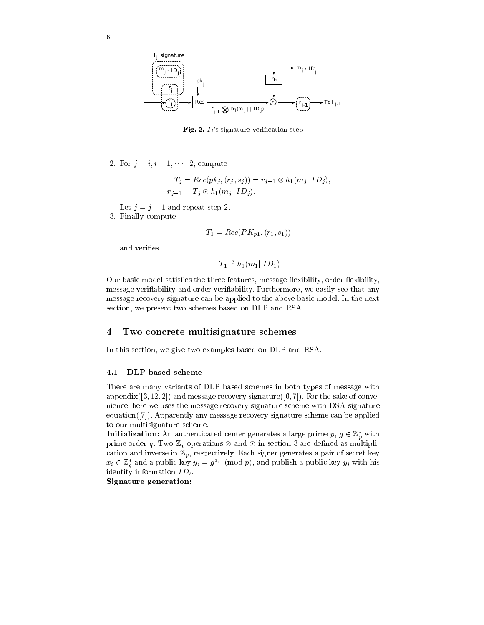

Fig. 2.  $I_j$ 's signature verification step

2. For  $j = i, i - 1, \dots, 2$ ; compute

$$
T_j = Rec(pk_j, (r_j, s_j)) = r_{j-1} \otimes h_1(m_j||ID_j),
$$
  

$$
r_{j-1} = T_j \odot h_1(m_j||ID_j).
$$

Let  $j = j - 1$  and repeat step 2.

3. Finally compute

$$
T_1 = Rec(PK_{p1}, (r_1, s_1)),
$$

and verifies

$$
T_1 \stackrel{?}{=} h_1(m_1||ID_1)
$$

Our basic model satisfies the three features, message flexibility, order flexibility, message veriability and order veriability. Furthermore, we easily see that any message recovery signature can be applied to the above basic model. In the next section, we present two schemes based on DLP and RSA.

### Two concrete multisignature schemes

In this section, we give two examples based on DLP and RSA.

#### 4.1 DLP based scheme

There are many variants of DLP based schemes in both types of message with appendix( $[3, 12, 2]$ ) and message recovery signature( $[6, 7]$ ). For the sake of convenience, here we uses the message recovery signature scheme with DSA-signature equation([7]). Apparently any message recovery signature scheme can be applied to our multisignature scheme.

**Initialization:** An authenticated center generates a large prime  $p, g \in \mathbb{Z}_p^*$  with prime order q. Two  $\mathbb{Z}_p$ -operations  $\otimes$  and  $\odot$  in section 3 are defined as multiplication and inverse in  $\mathbb{Z}_p$ , respectively. Each signer generates a pair of secret key  $x_i \in \mathbb{Z}_q^*$  and a public key  $y_i = g^{x_i} \pmod{p}$ , and publish a public key  $y_i$  with his identity information  $ID_i$ .

Signature generation: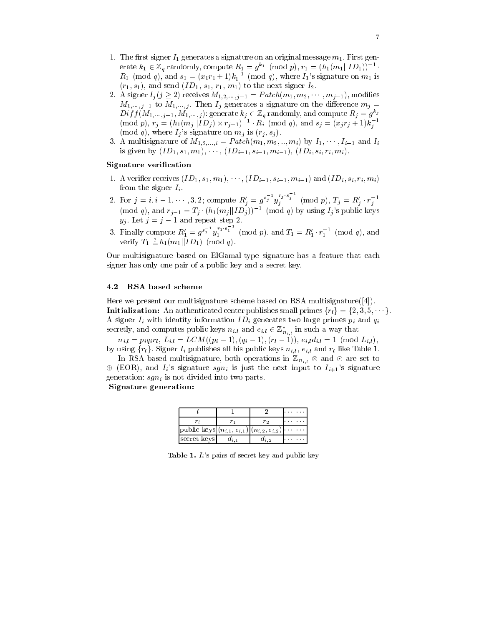- 1. The first signer  $I_1$  generates a signature on an original message  $m_1$ . First generate  $k_1 \in \mathbb{Z}_q$  randomly, compute  $R_1 = g^{k_1} \pmod{p}, r_1 = (h_1(m_1||ID_1))^{-1}$  .  $R_1 \pmod{q}$ , and  $s_1 = (x_1r_1+1)k_1^{-1} \pmod{q}$ , where  $I_1$ 's signature on  $m_1$  is  $(r_1, s_1)$ , and send  $(ID_1, s_1, r_1, m_1)$  to the next signer  $I_2$ .
- 2. A signer  $I_j$  ( $j \geq 2$ ) receives  $M_{1,2,\dots,j-1} = \text{patch}(m_1, m_2, \dots, m_{j-1}),$  modifies  $M_1, \ldots, j-1$  to  $M_1, \ldots, j$ . Then  $I_j$  generates a signature on the difference  $m_j =$  $Diff(M_1, \ldots, i-1, M_1, \ldots, i)$ : generate  $k_i \in \mathbb{Z}_q$  randomly, and compute  $R_i = g^{\kappa_i}$ (mod p),  $r_j = (h_1(m_j||ID_j) \times r_{j-1})^{-1} \cdot R_i \pmod{q}$ , and  $s_j = (x_j r_j + 1)k_j^{-1}$ <br>(mod q), where  $I_j$ 's signature on  $m_j$  is  $(r_j, s_j)$ .
- 3. A multisignature of  $M_{1,2,...,i} = \text{patch}(m_1, m_2, ..., m_i)$  by  $I_1, \dots, I_{i-1}$  and  $I_i$ is given by  $(ID_1, s_1, m_1), \cdots, (ID_{i-1}, s_{i-1}, m_{i-1}), (ID_i, s_i, r_i, m_i).$

#### Signature verification

- 1. A verifier receives  $(ID_1, s_1, m_1), \cdots, (ID_{i-1}, s_{i-1}, m_{i-1})$  and  $(ID_i, s_i, r_i, m_i)$ from the signer  $\mathbf{f}$  . The signer is the signer in the signer in the signer in the signer in the signer in the signer in the signer in the signer in the signer in the signer in the signer in the signer in the signer i
- 2. For  $j = i, i 1, \dots, 3, 2$ ; compute  $R'_j = g^{s_j^{-1}} y_j^{r_j \cdot s_j} \pmod{p}$ ,  $T_j = R'_j \cdot r_j^{-1}$ <br>(mod q), and  $r_{j-1} = T_j \cdot (h_1(m_j || ID_j))^{-1} \pmod{q}$  by using  $I_j$ 's public keys  $y_j$ . Let  $j = j - 1$  and repeat step 2.
- 3. Finally compute  $R'_1 = g^{s_1^{-1}} y_1^{r_1 \cdot s_1} \pmod{p}$ , and  $T_1 = R'_1 \cdot r_1^{-1} \pmod{q}$ , and verify  $T_1 \stackrel{\text{?}}{=} h_1(m_1 || ID_1) \pmod{q}$ .

Our multisignature based on ElGamal-type signature has a feature that each signer has only one pair of a public key and a secret key.

#### 4.2 RSA based scheme

Here we present our multisignature scheme based on RSA multisignature([4]). **Initialization:** An authenticated center publishes small primes  $\{r_l\} = \{2, 3, 5, \dots\}$ . A signer  $I_i$  with identity information  $ID_i$  generates two large primes  $p_i$  and  $q_i$ secretly, and computes public keys  $n_{i,l}$  and  $e_{i,l} \in \mathbb{Z}_{n_{i,l}}^*$  in such a way that

 $n_{i,l} = p_i q_i r_l, L_{i,l} = LCM((p_i - 1), (q_i - 1), (r_l - 1)), e_{i,l} d_{i,l} = 1 \pmod{L_{i,l}},$ by using  $\{r_l\}$ . Signer  $I_i$  publishes all his public keys  $n_{i,l}$ ,  $e_{i,l}$  and  $r_l$  like Table 1.

In RSA-based multisignature, both operations in  $\mathbb{Z}_{n_{i,l}}\otimes$  and  $\odot$  are set to  $\oplus$  (EOR), and  $I_i$ 's signature sgn<sub>i</sub> is just the next input to  $I_{i+1}$ 's signature generation:  $sgn_i$  is not divided into two parts.

Signature generation:

|                                                                   | ro        |  |
|-------------------------------------------------------------------|-----------|--|
| $ \text{public keys}[(n_{i,1},e_{i,1}) (n_{i,2},e_{i,2}) \cdots]$ |           |  |
| secret keys                                                       | $a_{i,2}$ |  |

Table 1.  $I_i$ 's pairs of secret key and public key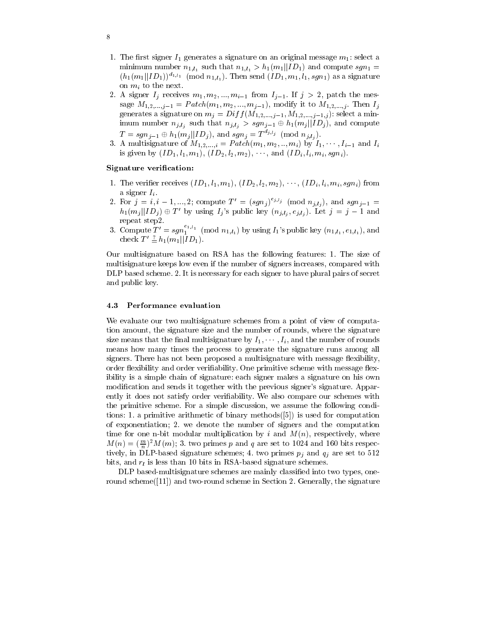- 1. The first signer  $I_1$  generates a signature on an original message  $m_1$ : select a minimum number  $n_{1,l_1}$  such that  $n_{1,l_1} > h_1(m_1||ID_1)$  and compute  $sgn_1 =$  $(h_1(m_1||ID_1))^{d_{1,l_1}} \pmod{n_{1,l_1}}$ . Then send  $(ID_1, m_1, l_1, sgn_1)$  as a signature on  $m_i$  to the next.
- 2. A signer  $I_j$  receives  $m_1, m_2, ..., m_{i-1}$  from  $I_{j-1}$ . If  $j > 2$ , patch the message  $M_{1,2,...,j-1} = \text{patch}(m_1, m_2, ..., m_{j-1}),$  modify it to  $M_{1,2,...,j}$ . Then  $I_j$ generates a signature on  $m_j = Diff(M_{1,2,\ldots,j-1}, M_{1,2,\ldots,j-1,j})$ : select a minimum number  $n_{j,l_j}$  such that  $n_{j,l_j} > sgn_{j-1} \oplus h_1(m_j || ID_j)$ , and compute  $T = sgn_{j-1} \oplus h_1(m_j||ID_j)$ , and  $sgn_j = T^{a_{j,l_j}} \pmod{n_{j,l_j}}$ .
- 3. A multisignature of  $M_{1,2,...,i} = \text{patch}(m_1, m_2, ..., m_i)$  by  $I_1, \dots, I_{i-1}$  and  $I_i$ is given by  $(ID_1, l_1, m_1), (ID_2, l_2, m_2), \cdots$ , and  $(ID_i, l_i, m_i, sgn_i).$

#### Signature verification:

- 1. The verifier receives  $(ID_1, l_1, m_1), (ID_2, l_2, m_2), \cdots, (ID_i, l_i, m_i, sgn_i)$  from a signer Ii .
- 2. For  $j = i, i 1, ..., 2$ ; compute  $T' = (sgn_j)^{r_{j,i}}$  (mod  $n_{j,l_i}$ ), and  $sgn_{j-1}$  $h_1(m_j||ID_j) \oplus T'$  by using  $I_j$ 's public key  $(n_{j,l_i}, e_{j,l_i})$ . Let  $j = j - 1$  and repeat step2.
- 3. Compute  $T' = sgn_1^{r_1, r_1} \pmod{n_{1, l_1}}$  by using  $I_1$ 's public key  $(n_{1, l_1}, e_{1, l_1})$ , and check  $T' \stackrel{?}{=} h_1(m_1||ID_1)$ .

Our multisignature based on RSA has the following features: 1. The size of multisignature keeps low even if the number of signers increases, compared with DLP based scheme. 2. It is necessary for each signer to have plural pairs of secret and public key.

#### 4.3 Performance evaluation

We evaluate our two multisignature schemes from a point of view of computation amount, the signature size and the number of rounds, where the signature size means that the final multisignature by  $I_1, \cdots, I_i$ , and the number of rounds means how many times the process to generate the signature runs among all signers. There has not been proposed a multisignature with message flexibility, order flexibility and order verifiability. One primitive scheme with message flexibility is a simple chain of signature: each signer makes a signature on his own modification and sends it together with the previous signer's signature. Apparently it does not satisfy order verifiability. We also compare our schemes with the primitive scheme. For a simple discussion, we assume the following conditions: 1. a primitive arithmetic of binary methods([5]) is used for computation of exponentiation; 2. we denote the number of signers and the computation time for one n-bit modular multiplication by i and  $M(n)$ , respectively, where  $M(n) = \left( \frac{m}{n} \right)^2 M(m);$  3. two primes p and q are set to 1024 and 160 bits respectively, in DLP-based signature schemes; 4. two primes  $p_i$  and  $q_i$  are set to 512 bits, and  $r_l$  is less than 10 bits in RSA-based signature schemes.

DLP based-multisignature schemes are mainly classied into two types, oneround scheme([11]) and two-round scheme in Section 2. Generally, the signature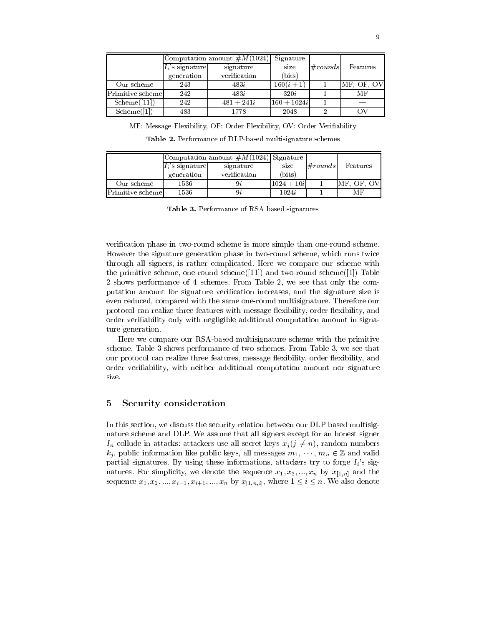|                  | Computation amount $\#M(\overline{1024})$ |              | Signature     |         |            |
|------------------|-------------------------------------------|--------------|---------------|---------|------------|
|                  | $I_i$ 's signature                        | signature    | size          | #rounds | Features   |
|                  | generation                                | verification | (bits)        |         |            |
| Our scheme       | 243                                       | 483i         | $160(i + 1)$  |         | MF, OF, OV |
| Primitive scheme | 242                                       | 483i         | 320i          |         | МF         |
| Scheme([11])     | 242                                       | $481 + 241i$ | $160 + 1024i$ |         |            |
| Scheme([1])      | 483                                       | 1778         | 2048          |         | ΟV         |

MF: Message Flexibility, OF: Order Flexibility, OV: Order Veriability

Table 2. Performance of DLP-based multisignature schemes

|                         | Computation amount $\#M(1024)$ Signature |              |              |                        |             |
|-------------------------|------------------------------------------|--------------|--------------|------------------------|-------------|
|                         | $ I_i\rangle$ s signature                | signature    | size         | $\vert \#rounds \vert$ | Features    |
|                         | generation                               | verification | bits)        |                        |             |
| Our scheme              | 1536                                     |              | $1024 + 10i$ |                        | IMF. OF. OV |
| <b>Primitive scheme</b> | 1536                                     |              | 1024i        |                        | МF          |

Table 3. Performance of RSA based signatures

verification phase in two-round scheme is more simple than one-round scheme. However the signature generation phase in two-round scheme, which runs twice through all signers, is rather complicated. Here we compare our scheme with the primitive scheme, one-round scheme([11]) and two-round scheme([1]) Table 2 shows performance of 4 schemes. From Table 2, we see that only the computation amount for signature verication increases, and the signature size is even reduced, compared with the same one-round multisignature. Therefore our protocol can realize three features with message flexibility, order flexibility, and order veriability only with negligible additional computation amount in signature generation.

Here we compare our RSA-based multisignature scheme with the primitive scheme. Table 3 shows performance of two schemes. From Table 3, we see that our protocol can realize three features, message flexibility, order flexibility, and order veriability, with neither additional computation amount nor signature size.

#### 5Security consideration

In this section, we discuss the security relation between our DLP based multisignature scheme and DLP. We assume that all signers except for an honest signer  $I_n$  collude in attacks: attackers use all secret keys  $x_j (j \neq n)$ , random numbers  $k_j$ , public information like public keys, all messages  $m_1, \dots, m_n \in \mathbb{Z}$  and valid partial signatures. By using these informations, attackers try to forge  $I_i$ 's signatures. For simplicity, we denote the sequence  $x_1, x_2, ..., x_n$  by  $x_{[1,n]}$  and the sequence  $x_1, x_2, ..., x_{i-1}, x_{i+1}, ..., x_n$  by  $x_{[1, n, i]}$ , where  $1 \le i \le n$ . We also denote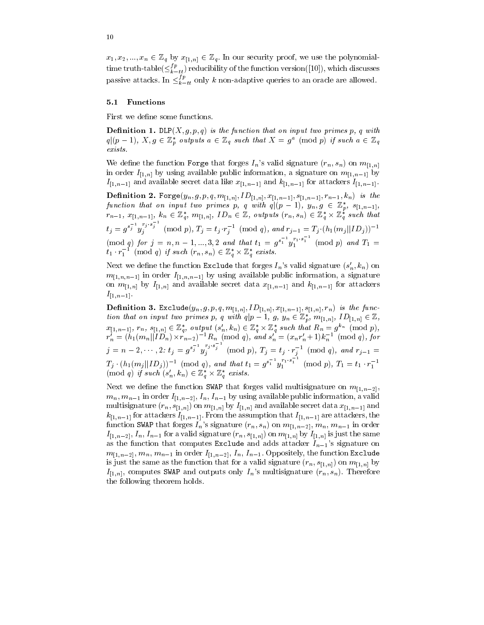$x_1, x_2, ..., x_n \in \mathbb{Z}_q$  by  $x_{[1,n]} \in \mathbb{Z}_q$ . In our security proof, we use the polynomialtime truth-table( $\leq^{\prime\prime}_{k-tt}$ ) reducibility of the function version([10]), which discusses passive attacks. In  $\leq_{k-tt}^p$  only k non-adaptive queries to an oracle are allowed.

#### 5.1 Functions

First we define some functions.

**Definition 1.** DLP(X, g, p, q) is the function that on input two primes p, q with  $q|(p-1), X, g \in \mathbb{Z}_p^*$  outputs  $a \in \mathbb{Z}_q$  such that  $X = g^a \pmod{p}$  if such  $a \in \mathbb{Z}_q$ exists.

We define the function Forge that forges  $I_n$ 's valid signature  $(r_n, s_n)$  on  $m_{[1,n]}$ in order  $I_{[1,n]}$  by using available public information, a signature on  $m_{[1,n-1]}$  by  $I_{[1,n-1]}$  and available secret data like  $x_{[1,n-1]}$  and  $k_{[1,n-1]}$  for attackers  $I_{[1,n-1]}$ .

**Definition 2.** Forge $(y_n, g, p, q, m_{[1,n]}, ID_{[1,n]}, x_{[1,n-1]}, s_{[1,n-1]}, r_{n-1}, k_n)$  is the function that on input two primes p, q with  $q((p-1), y_n, g \in \mathbb{Z}_p^*, s_{[1,n-1]},$  $r_{n-1}, x_{[1,n-1]}, k_n \in \mathbb{Z}_q^*, m_{[1,n]}, ID_n \in \mathbb{Z}$ , outputs  $(r_n, s_n) \in \mathbb{Z}_q^* \times \mathbb{Z}_q^*$  such that  $t_j = g^{s_j^{-1}} y_j^{r_j \cdot s_j^{-1}} \pmod{p}, T_j = t_j \cdot r_j^{-1} \pmod{q}, \text{ and } r_{j-1} = T_j \cdot (h_1(m_j || ID_j))^{-1}$  $p \pmod{q}$  for  $j = n, n - 1, ..., 3, 2$  and that  $t_1 = g^{s_1^{-1}} y_1^{r_1 \cdot s_1} \pmod{p}$  and  $T_1 = t_1 \cdot r_1^{-1} \pmod{q}$  if such  $(r_n, s_n) \in \mathbb{Z}_q^* \times \mathbb{Z}_q^*$  exists.

Next we define the function Exclude that forges  $I_n$ 's valid signature  $(s_n',k_n)$  on  $m_{[1,n,n-1]}$  in order  $I_{[1,n,n-1]}$  by using available public information, a signature on  $m_{[1,n]}$  by  $I_{[1,n]}$  and available secret data  $x_{[1,n-1]}$  and  $k_{[1,n-1]}$  for attackers  $I_{[1,n-1]}$ .

**Definition 3.** Exclude $(y_n, g, p, q, m_{[1,n]}, ID_{[1,n]}, x_{[1,n-1]}, s_{[1,n]}, r_n)$  is the function that on input two primes p, q with  $q|p-1$ ,  $g, y_n \in \mathbb{Z}_p^*$ ,  $m_{[1,n]}$ ,  $ID_{[1,n]} \in \mathbb{Z}$ ,  $x_{[1,n-1]}, r_n, s_{[1,n]} \in \mathbb{Z}_q^*$ , output  $(s'_n, k_n) \in \mathbb{Z}_q^* \times \mathbb{Z}_q^*$  such that  $R_n = g^{\kappa_n} \pmod{p}$ ,  $r'_n = (h_1(m_n||ID_n) \times r_{n-2})^{-1}R_n \pmod{q}$ , and  $s'_n = (x_n r'_n + 1)k_n^{-1} \pmod{q}$ , for  $j = n-2, \cdots, 2$ :  $t_j = g^{s_j^{-1}} y_j^{r_j \cdot s_j} \pmod{p}$ ,  $T_j = t_j \cdot r_j^{-1} \pmod{q}$ , and  $r_{j-1} =$  $T_j \cdot (h_1(m_j||ID_j))^{-1} \pmod{q}$ , and that  $t_1 = g^{s_1^{-1}}y_1^{r_1 \cdot s_1^{-1}} \pmod{p}$ ,  $T_1 = t_1 \cdot r_1^{-1}$  $p(\mod q)$  if such  $(s'_n, k_n) \in \mathbb{Z}_q^* \times \mathbb{Z}_q^*$  exists.

Next we define the function SWAP that forges valid multisignature on  $m_{[1,n-2]}$ ,  $m_n, m_{n-1}$  in order  $I_{[1,n-2]}$ ,  $I_n, I_{n-1}$  by using available public information, a valid multisignature  $(r_n, s_{[1,n]})$  on  $m_{[1,n]}$  by  $I_{[1,n]}$  and available secret data  $x_{[1,n-1]}$  and  $k_{[1,n-1]}$  for attackers  $I_{[1,n-1]}$ . From the assumption that  $I_{[1,n-1]}$  are attackers, the function SWAP that forges  $I_n$ 's signature  $(r_n, s_n)$  on  $m_{[1,n-2]}$ ,  $m_n$ ,  $m_{n-1}$  in order  $I_{[1,n-2]}$ ,  $I_n$ ,  $I_{n-1}$  for a valid signature  $(r_n, s_{[1,n]})$  on  $m_{[1,n]}$  by  $I_{[1,n]}$  is just the same as the function that computes Exclude and adds attacker  $I_{n-1}$ 's signature on  $m_{[1,n-2]}$ ,  $m_n$ ,  $m_{n-1}$  in order  $I_{[1,n-2]}$ ,  $I_n$ ,  $I_{n-1}$ . Oppositely, the function Exclude is just the same as the function that for a valid signature  $(r_n, s_{[1,n]})$  on  $m_{[1,n]}$  by  $I_{[1,n]}$ , computes SWAP and outputs only  $I_n$ 's multisignature  $(r_n, s_n)$ . Therefore the following theorem holds.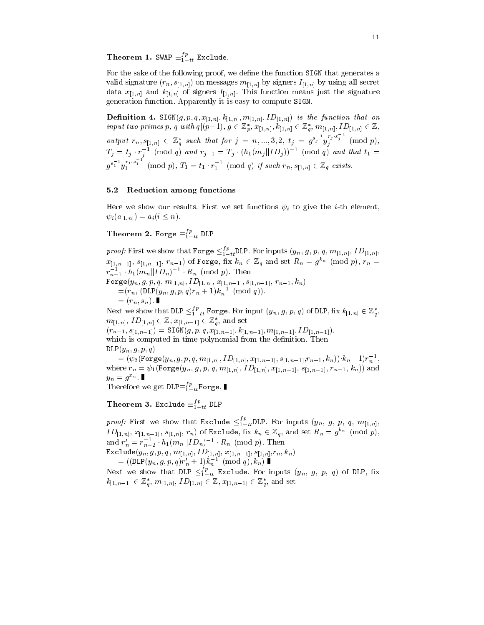Theorem 1. SWAP  $\equiv_{1-tt}^t \text{Exclude.}$ 

For the sake of the following proof, we define the function SIGN that generates a valid signature  $(r_n, s_{[1,n]})$  on messages  $m_{[1,n]}$  by signers  $I_{[1,n]}$  by using all secret data  $x_{[1,n]}$  and  $k_{[1,n]}$  of signers  $I_{[1,n]}$ . This function means just the signature generation function. Apparently it is easy to compute SIGN.

**Definition 4.** SIGN(g, p, q,  $x_{[1,n]}, k_{[1,n]}, m_{[1,n]}, ID_{[1,n]})$  is the function that on input two primes p, q with  $q|(p-1)$ ,  $g \in \mathbb{Z}_p^*, x_{[1,n]}, k_{[1,n]} \in \mathbb{Z}_q^*, m_{[1,n]}, ID_{[1,n]} \in \mathbb{Z}$ , output  $r_n, s_{[1,n]} \in \mathbb{Z}_q^*$  such that for  $j = n, ..., 3, 2, t_j = g^{s_j^{-1}} y_j^{r_j \cdot s_j^{-1}} \pmod{p}$ ,  $T_j = t_j \cdot r_i^{-1} \pmod{q}$  and  $r_{j-1} = T_j \cdot (h_1(m_j||ID_j))^{-1} \pmod{q}$  and that  $t_1 =$  $g^{s_1^{-1}}y_1^{r_1 \cdot s_1^{-1}} \pmod{p}, T_1 = t_1 \cdot r_1^{-1} \pmod{q}$  if such  $r_n, s_{[1,n]} \in \mathbb{Z}_q$  exists.

### 5.2 Reduction among functions

Here we show our results. First we set functions  $\psi_i$  to give the *i*-th element,  $\psi_i(a_{[1,n]}) = a_i (i \leq n).$ 

### Theorem 2. Forge  $\equiv_{1-tt}^{t}$  DLP

proof: First we show that Forge  $\leq^P_{1-tt}$ DLP. For inputs  $(y_n, g, p, q, m_{[1,n]}, ID_{[1,n]},$  $x_{[1,n-1]}, s_{[1,n-1]}, r_{n-1})$  of Forge, fix  $k_n \in \mathbb{Z}_q$  and set  $R_n = g^{\kappa_n} \pmod{p}$ ,  $r_n =$  $r_{n-1}^{-1} \cdot h_1(m_n||ID_n)^{-1} \cdot R_n \pmod{p}$ . Then Forge $(y_n, g, p, q, m_{[1,n]}, ID_{[1,n]}, x_{[1,n-1]}, s_{[1,n-1]}, r_{n-1}, k_n)$  $=(r_n, (\text{PLP}(y_n, y, p, q)r_n + 1)\kappa_n$  (mod q)).  $=(r_n, s_n).$ Next we show that DLP  $\leq_{1-t}^{t}$  Forge. For input  $(y_n, g, p, q)$  of DLP, fix  $k_{[1,n]} \in \mathbb{Z}_q^*$ ,  $m_{[1,n]},\,ID_{[1,n]}\in\mathbb{Z},\,x_{[1,n-1]}\in\mathbb{Z}_q^*$ , and set  $(r_{n-1}, s_{[1,n-1]}) = \text{SIGN}(q, p, q, x_{[1,n-1]}, k_{[1,n-1]}, m_{[1,n-1]}, ID_{[1,n-1]}),$ which is computed in time polynomial from the definition. Then  $\texttt{DLP}(y_n, g, p, q)$  $= (\psi_2(\texttt{rorge}(y_n, y, p, q, m_{[1,n]}, ID_{[1,n]}, x_{[1,n-1]}, s_{[1,n-1]}, r_{n-1}, \kappa_n)) \cdot \kappa_n - 1) r_n$ , where  $r$  is a contract that  $r$  and  $r$  ,  $r$  ,  $r$  ,  $r$  is  $n$  ,  $r$  , and  $r$  is an open to the  $r$  -ratio  $r$  ,  $r$  and  $r$  ,  $r$  and  $r$  and  $r$  and  $r$  and  $r$  and  $r$  and  $r$  is an open to  $r$  and  $r$  and  $r$  and  $y_n = g^{-n}$ . Therefore we get  $\texttt{DLP} \equiv_{1-tt}^{t} \texttt{Forge.}$ 

Theorem 3. Exclude  $\equiv_{1-tt}^t$  DLP

proof: First we show that Exclude  $\leq_1^t L_{tt}$ DLP. For inputs  $(y_n, g, p, q, m_{[1,n]},$  $ID_{[1,n]}, x_{[1,n-1]}, s_{[1,n]}, r_n)$  of Exclude, fix  $k_n \in \mathbb{Z}_q$ , and set  $R_n = g^{\kappa_n} \pmod{p}$ , and  $r'_n = r_{n-2}^{-1} \cdot h_1(m_n || ID_n)^{-1} \cdot R_n \pmod{p}$ . Then Exclude(yn; g; p; q, m[1;n] ; ID[1;n], x[1;n1] ; s[1;n],rn; kn)  $= ((\text{PLP}(y_n, g, p, q)r_n + 1)\kappa_n - (\text{mod } q), \kappa_n)$ 

Next we show that DLP  $\leq^P_{1-tt}$  Exclude. For inputs  $(y_n, g, p, q)$  of DLP, fix  $k_{[1,n-1]} \in \mathbb{Z}_q^*$ ,  $m_{[1,n]}, \, I D_{[1,n]} \in \mathbb{Z}$ ,  $x_{[1,n-1]} \in \mathbb{Z}_q^*$ , and set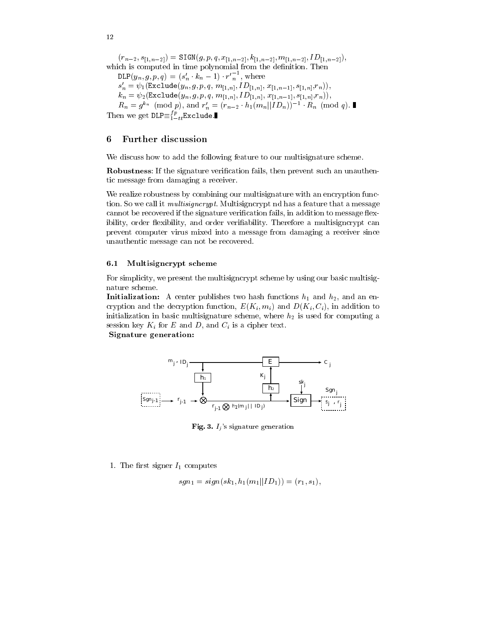$\label{eq:3} (r_{n-2},s_{[1,n-2]}) = \texttt{SIGN}(g,p,q,x_{[1,n-2]},k_{[1,n-2]},m_{[1,n-2]},ID_{[1,n-2]}),$  $\mathbf{P} \mathbf{P}(u, a, a) = \left(\begin{matrix} a' & b' \\ c' & b' \end{matrix}\right)^{-1} \mathbf{P}^{t-1}$ 

$$
DLP(y_n, g, p, q) = (s'_n \cdot k_n - 1) \cdot r'_n^-, \text{ where}
$$
  
\n
$$
s'_n = \psi_1(\text{Exclude}(y_n, g, p, q, m_{[1,n]}, ID_{[1,n]}, x_{[1,n-1]}, s_{[1,n]}, r_n)),
$$
  
\n
$$
k_n = \psi_2(\text{Exclude}(y_n, g, p, q, m_{[1,n]}, ID_{[1,n]}, x_{[1,n-1]}, s_{[1,n]}, r_n)),
$$
  
\n
$$
R_n = g^{k_n} \pmod{p}, \text{ and } r'_n = (r_{n-2} \cdot h_1(m_n || ID_n))^{-1} \cdot R_n \pmod{q}.
$$
 ■

Then we get  $\mathtt{DLP} \mathord{\equiv_{1-tt}^{\rho}} \mathtt{Exclude.}$ 

#### 6Further discussion

We discuss how to add the following feature to our multisignature scheme.

**Robustness**: If the signature verification fails, then prevent such an unauthentic message from damaging a receiver.

We realize robustness by combining our multisignature with an encryption function. So we call it *multisigncrypt*. Multisigncrypt nd has a feature that a message cannot be recovered if the signature verification fails, in addition to message flexibility, order flexibility, and order verifiability. Therefore a multisigncrypt can prevent computer virus mixed into a message from damaging a receiver since unauthentic message can not be recovered.

#### 6.1 Multisigncrypt scheme

For simplicity, we present the multisigncrypt scheme by using our basic multisignature scheme.

**Initialization:** A center publishes two hash functions  $h_1$  and  $h_2$ , and an encryption and the decryption function,  $E(K_i, m_i)$  and  $D(K_i, C_i)$ , in addition to initialization in basic multisignature scheme, where  $h_2$  is used for computing a session key  $K_i$  for E and D, and  $C_i$  is a cipher text.

Signature generation:



Fig. 3.  $I_j$ 's signature generation

1. The first signer  $I_1$  computes

$$
sgn_1 = sign(sk_1, h_1(m_1||ID_1)) = (r_1, s_1),
$$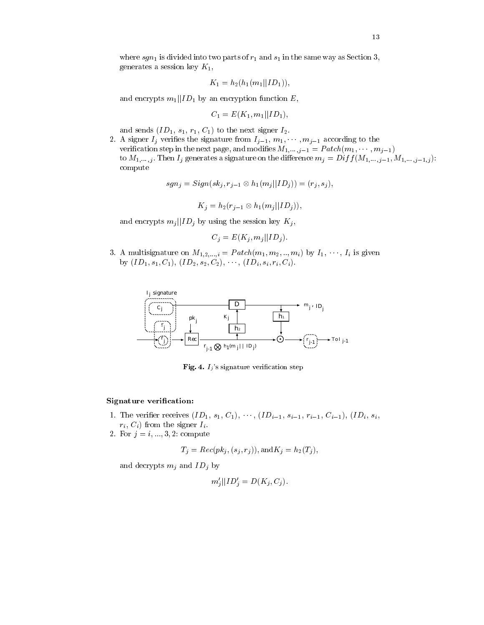where  $sgn_1$  is divided into two parts of  $r_1$  and  $s_1$  in the same way as Section 3,

$$
K_1 = h_2(h_1(m_1||ID_1)),
$$

and encrypts  $m_1||ID_1$  by an encryption function E,

$$
C_1 = E(K_1, m_1 || ID_1),
$$

and sends  $(ID_1, s_1, r_1, C_1)$  to the next signer  $I_2$ .

2. A signer  $I_i$  vermes the signature from  $I_{i-1}$ ,  $m_1, \cdots, m_{i-1}$  according to the verification step in the next page, and modifies  $m_1, \ldots, i-1 = P$  atch(m<sub>1</sub>,  $\ldots, m_{i-1}$ ) to  $M_{1,\dots,j}$ . Then  $I_j$  generates a signature on the difference  $m_j = Diff(M_{1,\dots,j-1}, M_{1,\dots,j-1,j})$ : compute

$$
sgn_j = Sign(sk_j, r_{j-1} \otimes h_1(m_j||ID_j)) = (r_j, s_j),
$$

$$
K_j=h_2(r_{j-1}\otimes h_1(m_j||ID_j)),
$$

and encrypts  $m_j || ID_j$  by using the session key  $K_j$ ,

$$
C_j = E(K_j, m_j || ID_j).
$$

3. A multisignature on  $M_{1,2,...,i} = \text{patch}(m_1, m_2, ..., m_i)$  by  $I_1, \dots, I_i$  is given by  $(ID_1, s_1, C_1), (ID_2, s_2, C_2), \cdots, (ID_i, s_i, r_i, C_i).$ 



Fig. 4.  $I_j$ 's signature verification step

#### Signature verification:

- 1. The verifier receives  $(ID_1, s_1, C_1), \cdots, (ID_{i-1}, s_{i-1}, r_{i-1}, C_{i-1}), (ID_i, s_i,$  $r_i, C_i$ ) from the signer  $I_i$ .
- 2. For  $j = i, ..., 3, 2$ : compute

$$
T_j = Rec(pk_j, (s_j, r_j)), \text{and} K_j = h_2(T_j)
$$

and decrypts  $m_j$  and  $ID_j$  by

$$
m_j'||ID_j' = D(K_j, C_j).
$$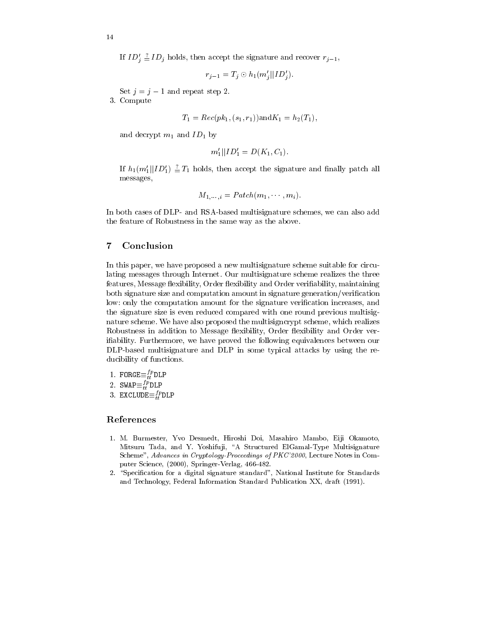If  $ID'_i \stackrel{?}{=} ID_j$  holds, then accept the signature and recover  $r_{j-1}$ ,

$$
r_{j-1} = T_j \odot h_1(m'_j||ID'_j).
$$

Set  $j = j - 1$  and repeat step 2. 3. Compute

$$
T_1 = Rec(pk_1, (s_1, r_1))
$$
and  $K_1 = h_2(T_1)$ ,

and decrypt  $m_1$  and  $ID_1$  by

$$
m'_1||ID'_1 = D(K_1, C_1).
$$

If  $h_1(m'_1||ID'_1) \stackrel{?}{=} T_1$  holds, then accept the signature and finally patch all messages,

$$
M_{1,\dots,i} = \text{Patch}(m_1,\dots,m_i).
$$

In both cases of DLP- and RSA-based multisignature schemes, we can also add the feature of Robustness in the same way as the above.

#### 7Conclusion

In this paper, we have proposed a new multisignature scheme suitable for circulating messages through Internet. Our multisignature scheme realizes the three features, Message flexibility, Order flexibility and Order verifiability, maintaining both signature size and computation amount in signature generation/verification low: only the computation amount for the signature verification increases, and the signature size is even reduced compared with one round previous multisignature scheme. We have also proposed the multisigncrypt scheme, which realizes Robustness in addition to Message flexibility, Order flexibility and Order veriability. Furthermore, we have proved the following equivalences between our DLP-based multisignature and DLP in some typical attacks by using the reducibility of functions.

- 1. FORGE $\equiv_{tt}^{t}$ PDLP
- 2. SWAP $\equiv_{tt}^{t}$ DLP
- 3. EXCLUDE $\equiv_{tt}^{t}$ PDLP

### References

- 1. M. Burmester, Yvo Desmedt, Hiroshi Doi, Masahiro Mambo, Eiji Okamoto, Mitsuru Tada, and Y. Yoshifuji, "A Structured ElGamal-Type Multisignature Scheme", Advances in Cryptology-Proceedings of PKC'2000, Lecture Notes in Computer Science, (2000), Springer-Verlag, 466-482.
- 2. "Specification for a digital signature standard", National Institute for Standards and Technology, Federal Information Standard Publication XX, draft (1991).

14